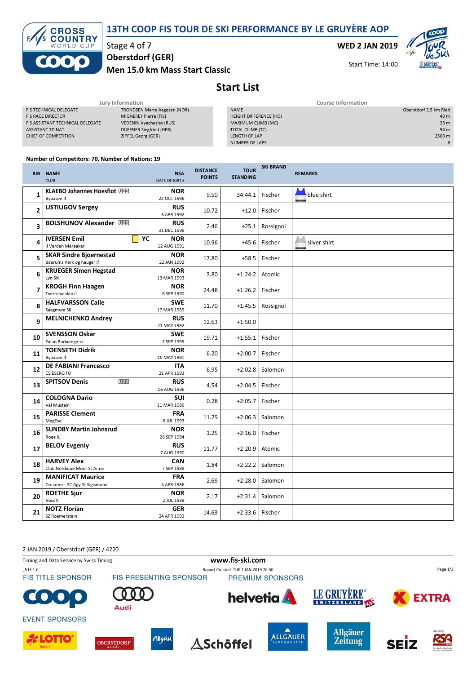13TH COOP FIS TOUR DE SKI PERFORMANCE BY LE GRUYÈRE AOP



Stage 4 of 7

Oberstdorf (GER)

Men 15.0 km Mass Start Classic

WED 2 JAN 2019



Start Time: 14:00

## Start List

| Jury Information                 |                              |  | <b>Course Information</b> |  |                        |
|----------------------------------|------------------------------|--|---------------------------|--|------------------------|
| <b>FIS TECHNICAL DELEGATE</b>    | TRONDSEN Marte Aagesen (NOR) |  | <b>NAME</b>               |  | Oberstdorf 2.5 km Ried |
| <b>FIS RACE DIRECTOR</b>         | MIGNEREY Pierre (FIS)        |  | HEIGHT DIFFERENCE (HD)    |  | 40 m                   |
| FIS ASSISTANT TECHNICAL DELEGATE | VEDENIN Vyacheslav (RUS)     |  | MAXIMUM CLIMB (MC)        |  | 33 <sub>m</sub>        |
| ASSISTANT TD NAT.                | DUFFNER Siegfried (GER)      |  | TOTAL CLIMB (TC)          |  | 94 m                   |
| CHIEF OF COMPETITION             | ZIPFEL Georg (GER)           |  | LENGTH OF LAP             |  | 2500 m                 |
|                                  |                              |  | NUMBER OF LAPS            |  | 6                      |
|                                  |                              |  |                           |  |                        |

## Number of Competitors: 70, Number of Nations: 19

|                          | <b>BIB NAME</b><br><b>CLUB</b>                              | <b>NSA</b><br><b>DATE OF BIRTH</b> | <b>DISTANCE</b><br><b>POINTS</b> | <b>TOUR</b><br><b>STANDING</b> | <b>SKI BRAND</b> | <b>REMARKS</b> |
|--------------------------|-------------------------------------------------------------|------------------------------------|----------------------------------|--------------------------------|------------------|----------------|
| 1                        | KLAEBO Johannes Hoesflot U28<br>Byaasen II                  | <b>NOR</b><br>22 OCT 1996          | 9.50                             | 34:44.1                        | Fischer          | blue shirt     |
| $\overline{2}$           | <b>USTIUGOV Sergey</b>                                      | <b>RUS</b><br>8 APR 1992           | 10.72                            | $+12.0$                        | Fischer          |                |
| 3                        | <b>BOLSHUNOV Alexander U28</b>                              | <b>RUS</b><br>31 DEC 1996          | 2.46                             | $+25.1$                        | Rossignol        |                |
| 4                        | YC<br><b>IVERSEN Emil</b><br>Il Varden Meraaker             | <b>NOR</b><br>12 AUG 1991          | 10.96                            | $+45.6$                        | Fischer          | silver shirt   |
| 5                        | <b>SKAR Sindre Bioernestad</b><br>Baerums Verk og hauger if | <b>NOR</b><br>22 JAN 1992          | 17.80                            | $+58.5$                        | Fischer          |                |
| 6                        | <b>KRUEGER Simen Hegstad</b><br>Lyn Ski                     | <b>NOR</b><br>13 MAR 1993          | 3.80                             | $+1:24.2$                      | Atomic           |                |
| $\overline{\phantom{a}}$ | <b>KROGH Finn Haagen</b><br>Tverrelvdalen II                | <b>NOR</b><br>6 SEP 1990           | 24.48                            | $+1:26.2$                      | Fischer          |                |
| 8                        | <b>HALFVARSSON Calle</b><br>Saagmyra SK                     | <b>SWE</b><br>17 MAR 1989          | 11.70                            | $+1:45.5$                      | Rossignol        |                |
| 9                        | <b>MELNICHENKO Andrey</b>                                   | <b>RUS</b><br>21 MAY 1992          | 12.63                            | $+1:50.0$                      |                  |                |
| 10                       | <b>SVENSSON Oskar</b><br>Falun Borlaenge sk                 | <b>SWE</b><br>7 SEP 1995           | 19.71                            | $+1:55.1$                      | Fischer          |                |
| 11                       | <b>TOENSETH Didrik</b><br>Byaasen II                        | <b>NOR</b><br>10 MAY 1991          | 6.20                             | $+2:00.7$                      | Fischer          |                |
| 12                       | <b>DE FABIANI Francesco</b><br>CS ESERCITO                  | <b>ITA</b><br>21 APR 1993          | 6.95                             | $+2:02.8$                      | Salomon          |                |
| 13                       | U <sub>23</sub><br><b>SPITSOV Denis</b>                     | <b>RUS</b><br>16 AUG 1996          | 4.54                             | $+2:04.5$                      | Fischer          |                |
| 14                       | <b>COLOGNA Dario</b><br>Val Müstair                         | <b>SUI</b><br>11 MAR 1986          | 0.28                             | $+2:05.7$                      | Fischer          |                |
| 15                       | <b>PARISSE Clement</b><br>MegEve                            | <b>FRA</b><br>6 JUL 1993           | 11.29                            | $+2:06.3$                      | Salomon          |                |
| 16                       | <b>SUNDBY Martin Johnsrud</b><br>Roea IL                    | <b>NOR</b><br>26 SEP 1984          | 1.25                             | $+2:16.0$                      | Fischer          |                |
| 17                       | <b>BELOV Evgeniy</b>                                        | <b>RUS</b><br>7 AUG 1990           | 11.77                            | $+2:20.9$                      | Atomic           |                |
| 18                       | <b>HARVEY Alex</b><br>Club Nordique Mont St.Anne            | <b>CAN</b><br>7 SEP 1988           | 1.84                             | $+2:22.2$                      | Salomon          |                |
| 19                       | <b>MANIFICAT Maurice</b><br>Douanes - SC Agy St Sigismond   | FRA<br>4 APR 1986                  | 2.69                             | $+2:28.0$                      | Salomon          |                |
| 20                       | <b>ROETHE Sjur</b><br>Voss II                               | <b>NOR</b><br>2 JUL 1988           | 2.17                             | $+2:31.4$                      | Salomon          |                |
| 21                       | <b>NOTZ Florian</b><br>SZ Roemerstein                       | <b>GER</b><br>24 APR 1992          | 14.63                            | +2:33.6   Fischer              |                  |                |

2 JAN 2019 / Oberstdorf (GER) / 4220

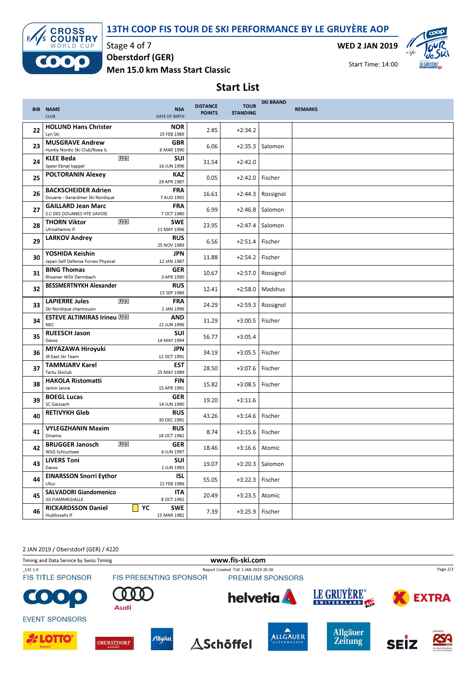



Stage 4 of 7

Oberstdorf (GER)

Men 15.0 km Mass Start Classic

WED 2 JAN 2019



Start Time: 14:00

Start List

|    | <b>BIB NAME</b><br><b>CLUB</b>                                | <b>NSA</b><br><b>DATE OF BIRTH</b> | <b>DISTANCE</b><br><b>POINTS</b> | <b>TOUR</b><br><b>STANDING</b> | <b>SKI BRAND</b>  | <b>REMARKS</b> |
|----|---------------------------------------------------------------|------------------------------------|----------------------------------|--------------------------------|-------------------|----------------|
| 22 | <b>HOLUND Hans Christer</b><br>Lyn Ski                        | <b>NOR</b><br>25 FEB 1989          | 2.85                             | $+2:34.2$                      |                   |                |
| 23 | <b>MUSGRAVE Andrew</b><br>Huntly Nordic Ski Club/Roea IL      | <b>GBR</b><br>6 MAR 1990           | 6.06                             | $+2:35.3$                      | Salomon           |                |
| 24 | U <sub>23</sub><br><b>KLEE Beda</b><br>Speer Ebnat kappel     | <b>SUI</b><br>16 JUN 1996          | 31.54                            | $+2:42.0$                      |                   |                |
| 25 | <b>POLTORANIN Alexey</b>                                      | <b>KAZ</b><br>29 APR 1987          | 0.05                             | $+2:42.0$                      | Fischer           |                |
| 26 | <b>BACKSCHEIDER Adrien</b><br>Douane - Gerardmer Ski Nordique | <b>FRA</b><br>7 AUG 1992           | 16.61                            | $+2:44.3$                      | Rossignol         |                |
| 27 | <b>GAILLARD Jean Marc</b><br>S.C DES DOUANES HTE SAVOIE       | <b>FRA</b><br>7 OCT 1980           | 6.99                             | $+2:46.8$                      | Salomon           |                |
| 28 | U <sub>23</sub><br><b>THORN Viktor</b><br>Ulricehamns If      | <b>SWE</b><br>11 MAY 1996          | 23.95                            | $+2:47.4$                      | Salomon           |                |
| 29 | <b>LARKOV Andrey</b>                                          | <b>RUS</b><br>25 NOV 1989          | 6.56                             | $+2:51.4$                      | Fischer           |                |
| 30 | YOSHIDA Keishin<br>Japan Self Defense Forces Physical         | <b>JPN</b><br>12 JAN 1987          | 11.88                            | $+2:54.2$                      | Fischer           |                |
| 31 | <b>BING Thomas</b><br>Rhoener WSV Dermbach                    | <b>GER</b><br>3 APR 1990           | 10.67                            | $+2:57.0$                      | Rossignol         |                |
| 32 | <b>BESSMERTNYKH Alexander</b>                                 | <b>RUS</b><br>15 SEP 1986          | 12.41                            | $+2:58.0$                      | Madshus           |                |
| 33 | <b>LAPIERRE Jules</b><br>U23<br>Ski Nordique chartrousin      | <b>FRA</b><br>2 JAN 1996           | 24.29                            | $+2:59.3$                      | Rossignol         |                |
| 34 | <b>ESTEVE ALTIMIRAS Irineu U28</b><br><b>NEC</b>              | <b>AND</b><br>21 JUN 1996          | 31.29                            | $+3:00.5$                      | Fischer           |                |
| 35 | <b>RUEESCH Jason</b><br>Davos                                 | <b>SUI</b><br>16 MAY 1994          | 56.77                            | $+3:05.4$                      |                   |                |
| 36 | MIYAZAWA Hiroyuki<br>JR East Ski Team                         | <b>JPN</b><br>12 OCT 1991          | 34.19                            | $+3:05.5$                      | Fischer           |                |
| 37 | <b>TAMMJARV Karel</b><br><b>Tartu Skiclub</b>                 | EST<br>25 MAY 1989                 | 28.50                            | $+3:07.6$                      | Fischer           |                |
| 38 | <b>HAKOLA Ristomatti</b><br>Jamin Janne                       | <b>FIN</b><br>15 APR 1991          | 15.82                            | $+3:08.5$                      | Fischer           |                |
| 39 | <b>BOEGL Lucas</b><br>SC Gaissach                             | <b>GER</b><br>14 JUN 1990          | 19.20                            | $+3:11.6$                      |                   |                |
| 40 | <b>RETIVYKH Gleb</b>                                          | <b>RUS</b><br>30 DEC 1991          | 43.26                            | $+3:14.6$                      | Fischer           |                |
| 41 | <b>VYLEGZHANIN Maxim</b><br>Dinamo                            | <b>RUS</b><br>18 OCT 1982          | 8.74                             | $+3:15.6$                      | Fischer           |                |
| 42 | U23<br><b>BRUGGER Janosch</b><br><b>WSG Schluchsee</b>        | GER<br>6 JUN 1997                  | 18.46                            | $+3:16.6$                      | Atomic            |                |
| 43 | <b>LIVERS Toni</b><br>Davos                                   | SUI<br>2 JUN 1983                  | 19.07                            |                                | $+3:20.3$ Salomon |                |
| 44 | <b>EINARSSON Snorri Eythor</b><br>Ullur                       | <b>ISL</b><br>21 FEB 1986          | 55.05                            | $+3:22.3$                      | Fischer           |                |
| 45 | <b>SALVADORI Giandomenico</b><br><b>GS FIAMMEGIALLE</b>       | <b>ITA</b><br>8 OCT 1992           | 20.49                            | $+3:23.5$                      | Atomic            |                |
| 46 | <b>RICKARDSSON Daniel</b><br>Hudiksvalls IF                   | YC<br><b>SWE</b><br>15 MAR 1982    | 7.39                             | +3:25.9                        | Fischer           |                |

2 JAN 2019 / Oberstdorf (GER) / 4220